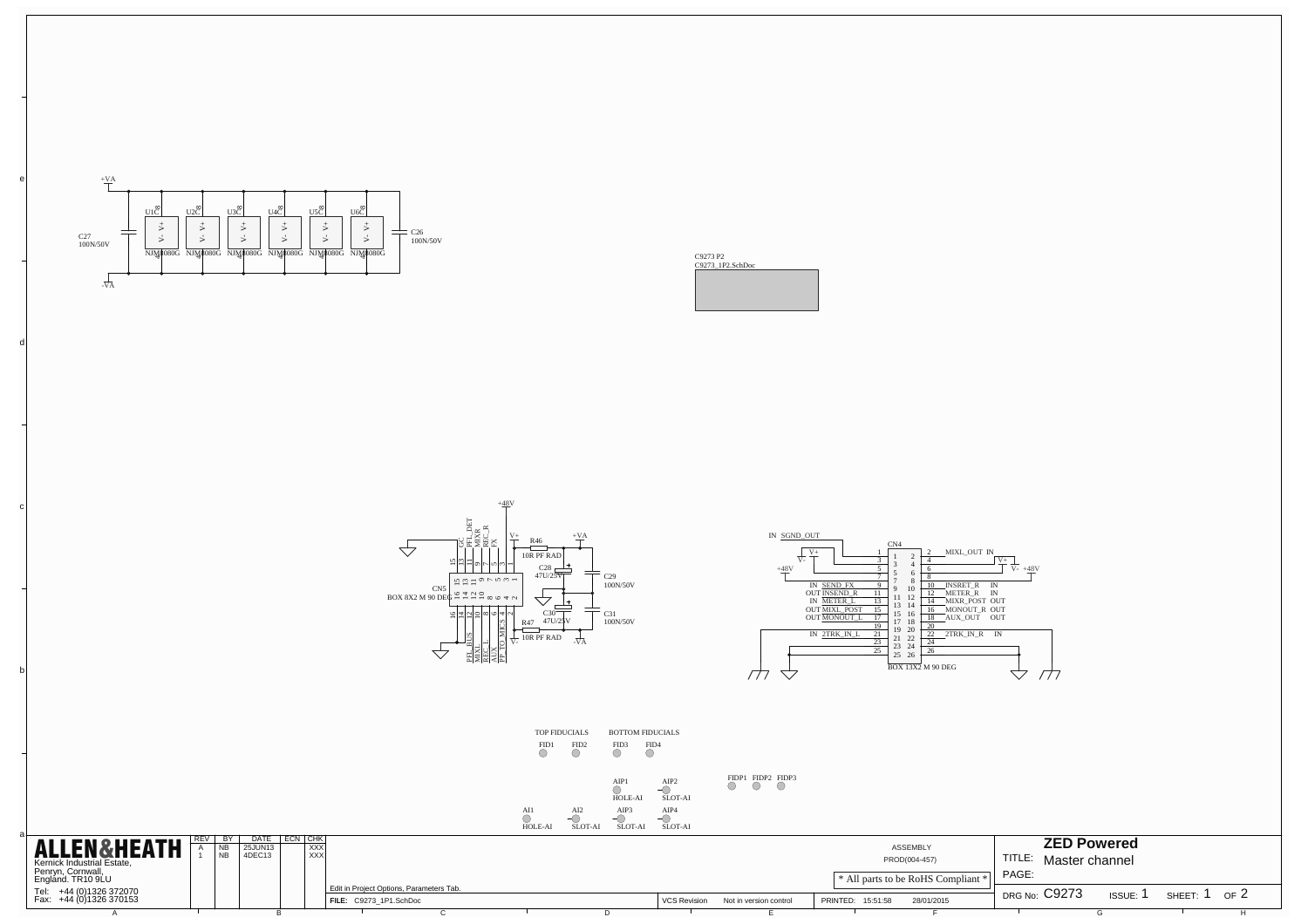

b

c

d

e





AI1



FID1 FID2 FID3 FID4 TOP FIDUCIALS BOTTOM FIDUCIALS

AI2 AIP1 HOLE-AI AIP2 SLOT-AI AIP3 AIP4 FIDP1 FIDP2 FIDP3

|                                                    |     |                       |              |            |                                          | <b>HOLE-AI</b> | SLOT-A | SLOT-AI | SLOT-AI             |                        |                                    |        |                    |        |        |     |
|----------------------------------------------------|-----|-----------------------|--------------|------------|------------------------------------------|----------------|--------|---------|---------------------|------------------------|------------------------------------|--------|--------------------|--------|--------|-----|
| <b>ALLEN&amp;HEATH</b>                             |     | 25JUN13               | DATE ECN CHK | <b>XXX</b> |                                          |                |        |         |                     |                        | ASSEMBLY                           |        | <b>ZED Powered</b> |        |        |     |
| Kernick Industrial Estate,                         | 'NB | $4$ DEC <sub>13</sub> |              | <b>XXX</b> |                                          |                |        |         |                     |                        | PROD(004-457)                      | TITLE: | Master channel     |        |        |     |
| Penryn, Cornwall,<br>England. TR10 9LU             |     |                       |              |            |                                          |                |        |         |                     |                        | * All parts to be RoHS Compliant * | PAGE:  |                    |        |        |     |
| Tel: +44 (0)1326 372070<br>Fax: +44 (0)1326 370153 |     |                       |              |            | Edit in Project Options, Parameters Tab. |                |        |         |                     |                        |                                    |        | DRG No: C9273      | ISSUE: | SHEET: | OFZ |
|                                                    |     |                       |              |            | FILE: C9273 1P1.SchDoc                   |                |        |         | <b>VCS Revision</b> | Not in version control | 28/01/2015<br>PRINTED:<br>15:51:58 |        |                    |        |        |     |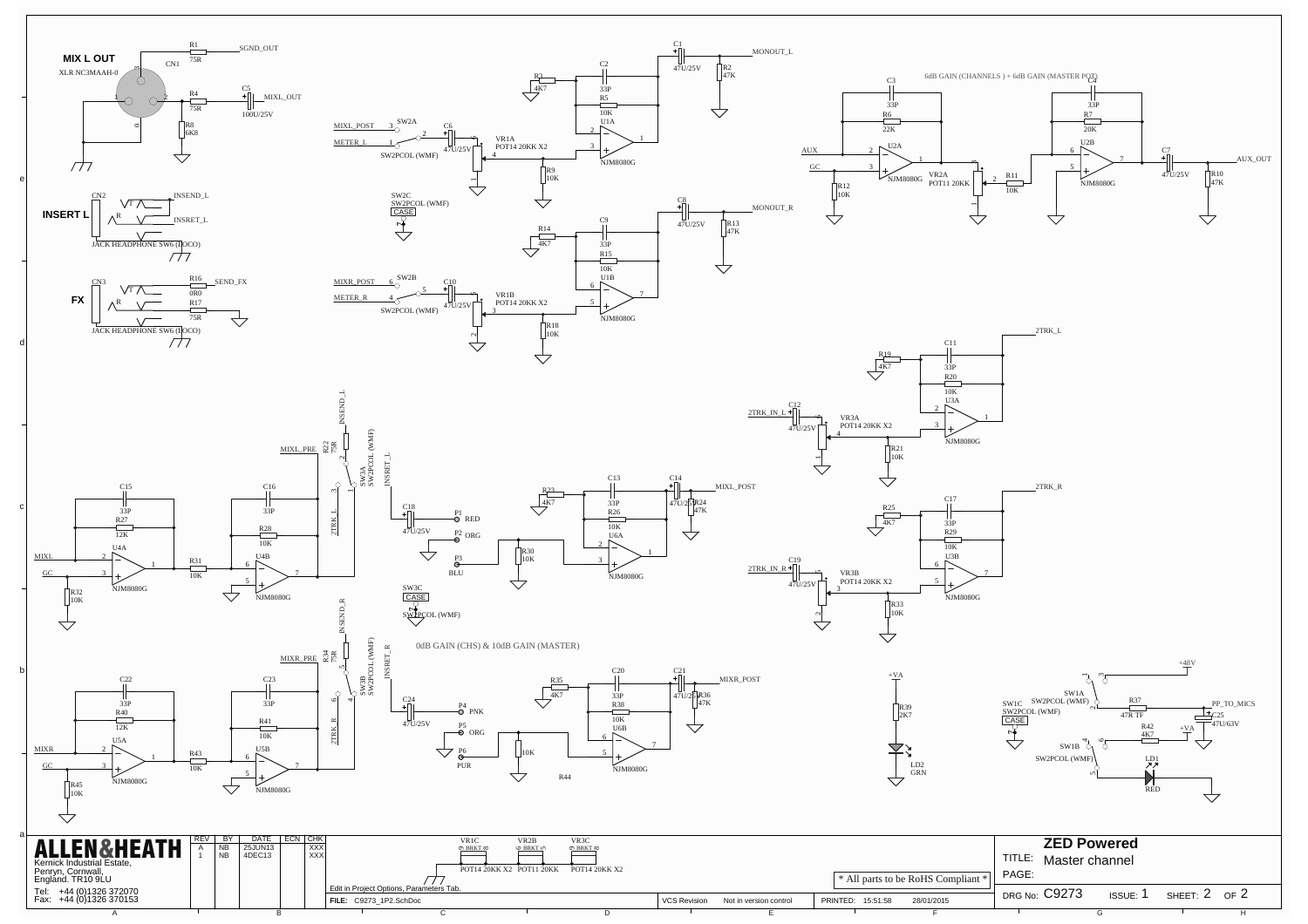